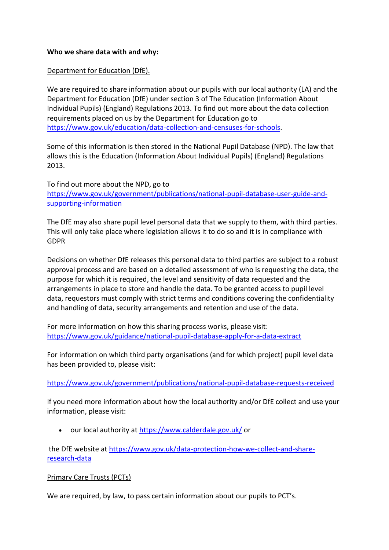#### **Who we share data with and why:**

#### Department for Education (DfE).

We are required to share information about our pupils with our local authority (LA) and the Department for Education (DfE) under section 3 of The Education (Information About Individual Pupils) (England) Regulations 2013. To find out more about the data collection requirements placed on us by the Department for Education go to [https://www.gov.uk/education/data-collection-and-censuses-for-schools.](https://www.gov.uk/education/data-collection-and-censuses-for-schools)

Some of this information is then stored in the National Pupil Database (NPD). The law that allows this is the Education (Information About Individual Pupils) (England) Regulations 2013.

To find out more about the NPD, go to [https://www.gov.uk/government/publications/national-pupil-database-user-guide-and](https://www.gov.uk/government/publications/national-pupil-database-user-guide-and-supporting-information)[supporting-information](https://www.gov.uk/government/publications/national-pupil-database-user-guide-and-supporting-information)

The DfE may also share pupil level personal data that we supply to them, with third parties. This will only take place where legislation allows it to do so and it is in compliance with GDPR

Decisions on whether DfE releases this personal data to third parties are subject to a robust approval process and are based on a detailed assessment of who is requesting the data, the purpose for which it is required, the level and sensitivity of data requested and the arrangements in place to store and handle the data. To be granted access to pupil level data, requestors must comply with strict terms and conditions covering the confidentiality and handling of data, security arrangements and retention and use of the data.

For more information on how this sharing process works, please visit: <https://www.gov.uk/guidance/national-pupil-database-apply-for-a-data-extract>

For information on which third party organisations (and for which project) pupil level data has been provided to, please visit:

# <https://www.gov.uk/government/publications/national-pupil-database-requests-received>

If you need more information about how the local authority and/or DfE collect and use your information, please visit:

our local authority at<https://www.calderdale.gov.uk/> or

the DfE website at [https://www.gov.uk/data-protection-how-we-collect-and-share](https://www.gov.uk/data-protection-how-we-collect-and-share-research-data)[research-data](https://www.gov.uk/data-protection-how-we-collect-and-share-research-data)

# Primary Care Trusts (PCTs)

We are required, by law, to pass certain information about our pupils to PCT's.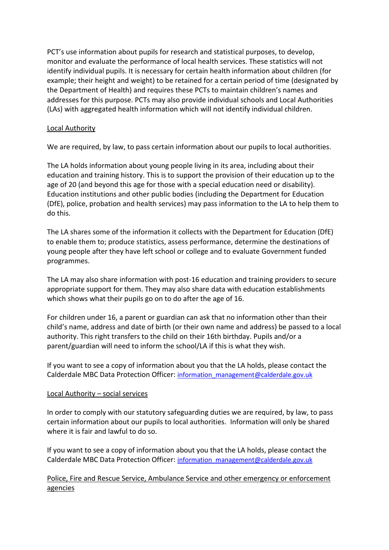PCT's use information about pupils for research and statistical purposes, to develop, monitor and evaluate the performance of local health services. These statistics will not identify individual pupils. It is necessary for certain health information about children (for example; their height and weight) to be retained for a certain period of time (designated by the Department of Health) and requires these PCTs to maintain children's names and addresses for this purpose. PCTs may also provide individual schools and Local Authorities (LAs) with aggregated health information which will not identify individual children.

# Local Authority

We are required, by law, to pass certain information about our pupils to local authorities.

The LA holds information about young people living in its area, including about their education and training history. This is to support the provision of their education up to the age of 20 (and beyond this age for those with a special education need or disability). Education institutions and other public bodies (including the Department for Education (DfE), police, probation and health services) may pass information to the LA to help them to do this.

The LA shares some of the information it collects with the Department for Education (DfE) to enable them to; produce statistics, assess performance, determine the destinations of young people after they have left school or college and to evaluate Government funded programmes.

The LA may also share information with post-16 education and training providers to secure appropriate support for them. They may also share data with education establishments which shows what their pupils go on to do after the age of 16.

For children under 16, a parent or guardian can ask that no information other than their child's name, address and date of birth (or their own name and address) be passed to a local authority. This right transfers to the child on their 16th birthday. Pupils and/or a parent/guardian will need to inform the school/LA if this is what they wish.

If you want to see a copy of information about you that the LA holds, please contact the Calderdale MBC Data Protection Officer: [information\\_management@calderdale.gov.uk](mailto:information_management@calderdale.gov.uk)

#### Local Authority – social services

In order to comply with our statutory safeguarding duties we are required, by law, to pass certain information about our pupils to local authorities. Information will only be shared where it is fair and lawful to do so.

If you want to see a copy of information about you that the LA holds, please contact the Calderdale MBC Data Protection Officer: [information\\_management@calderdale.gov.uk](mailto:information_management@calderdale.gov.uk)

Police, Fire and Rescue Service, Ambulance Service and other emergency or enforcement agencies